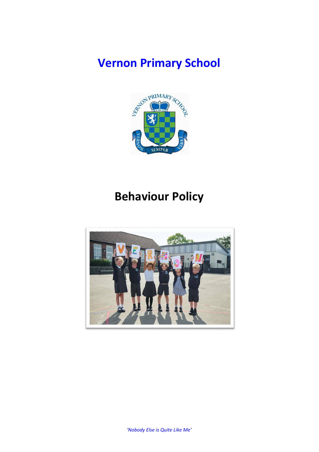# **Vernon Primary School**



## **Behaviour Policy**

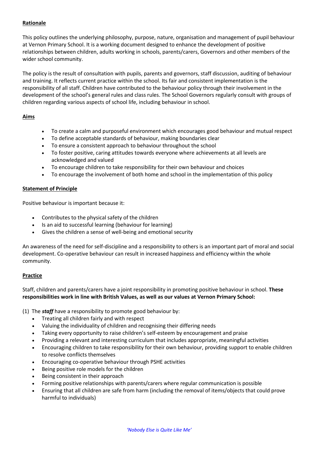#### **Rationale**

This policy outlines the underlying philosophy, purpose, nature, organisation and management of pupil behaviour at Vernon Primary School. It is a working document designed to enhance the development of positive relationships between children, adults working in schools, parents/carers, Governors and other members of the wider school community.

The policy is the result of consultation with pupils, parents and governors, staff discussion, auditing of behaviour and training. It reflects current practice within the school. Its fair and consistent implementation is the responsibility of all staff. Children have contributed to the behaviour policy through their involvement in the development of the school's general rules and class rules. The School Governors regularly consult with groups of children regarding various aspects of school life, including behaviour in school.

#### **Aims**

- To create a calm and purposeful environment which encourages good behaviour and mutual respect
- To define acceptable standards of behaviour, making boundaries clear
- To ensure a consistent approach to behaviour throughout the school
- To foster positive, caring attitudes towards everyone where achievements at all levels are acknowledged and valued
- To encourage children to take responsibility for their own behaviour and choices
- To encourage the involvement of both home and school in the implementation of this policy

#### **Statement of Principle**

Positive behaviour is important because it:

- Contributes to the physical safety of the children
- Is an aid to successful learning (behaviour for learning)
- Gives the children a sense of well-being and emotional security

An awareness of the need for self-discipline and a responsibility to others is an important part of moral and social development. Co-operative behaviour can result in increased happiness and efficiency within the whole community.

#### **Practice**

Staff, children and parents/carers have a joint responsibility in promoting positive behaviour in school. **These responsibilities work in line with British Values, as well as our values at Vernon Primary School:**

(1) The *staff* have a responsibility to promote good behaviour by:

- Treating all children fairly and with respect
- Valuing the individuality of children and recognising their differing needs
- Taking every opportunity to raise children's self-esteem by encouragement and praise
- Providing a relevant and interesting curriculum that includes appropriate, meaningful activities
- Encouraging children to take responsibility for their own behaviour, providing support to enable children to resolve conflicts themselves
- Encouraging co-operative behaviour through PSHE activities
- Being positive role models for the children
- Being consistent in their approach
- Forming positive relationships with parents/carers where regular communication is possible
- Ensuring that all children are safe from harm (including the removal of items/objects that could prove harmful to individuals)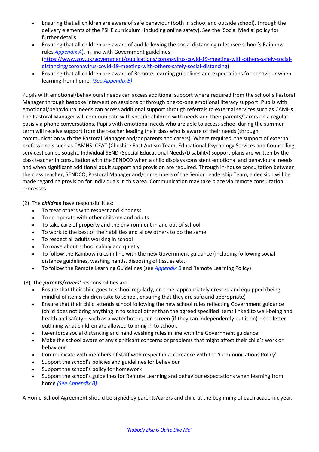- Ensuring that all children are aware of safe behaviour (both in school and outside school), through the delivery elements of the PSHE curriculum (including online safety). See the 'Social Media' policy for further details.
- Ensuring that all children are aware of and following the social distancing rules (see school's Rainbow rules *Appendix A*), in line with Government guidelines: [\(https://www.gov.uk/government/publications/coronavirus-covid-19-meeting-with-others-safely-social](https://www.gov.uk/government/publications/coronavirus-covid-19-meeting-with-others-safely-social-distancing/coronavirus-covid-19-meeting-with-others-safely-social-distancing)[distancing/coronavirus-covid-19-meeting-with-others-safely-social-distancing\)](https://www.gov.uk/government/publications/coronavirus-covid-19-meeting-with-others-safely-social-distancing/coronavirus-covid-19-meeting-with-others-safely-social-distancing)
- Ensuring that all children are aware of Remote Learning guidelines and expectations for behaviour when learning from home. *(See Appendix B)*

Pupils with emotional/behavioural needs can access additional support where required from the school's Pastoral Manager through bespoke intervention sessions or through one-to-one emotional literacy support. Pupils with emotional/behavioural needs can access additional support through referrals to external services such as CAMHs. The Pastoral Manager will communicate with specific children with needs and their parents/carers on a regular basis via phone conversations. Pupils with emotional needs who are able to access school during the summer term will receive support from the teacher leading their class who is aware of their needs (through communication with the Pastoral Manager and/or parents and carers). Where required, the support of external professionals such as CAMHS, CEAT (Cheshire East Autism Team, Educational Psychology Services and Counselling services) can be sought. Individual SEND (Special Educational Needs/Disability) support plans are written by the class teacher in consultation with the SENDCO when a child displays consistent emotional and behavioural needs and when significant additional adult support and provision are required. Through in-house consultation between the class teacher, SENDCO, Pastoral Manager and/or members of the Senior Leadership Team, a decision will be made regarding provision for individuals in this area. Communication may take place via remote consultation processes.

(2) The *children* have responsibilities:

- To treat others with respect and kindness
- To co-operate with other children and adults
- To take care of property and the environment in and out of school
- To work to the best of their abilities and allow others to do the same
- To respect all adults working in school
- To move about school calmly and quietly
- To follow the Rainbow rules in line with the new Government guidance (including following social distance guidelines, washing hands, disposing of tissues etc.)
- To follow the Remote Learning Guidelines (see *Appendix B* and Remote Learning Policy)

(3) The *parents/carers'* responsibilities are:

- Ensure that their child goes to school regularly, on time, appropriately dressed and equipped (being mindful of items children take to school, ensuring that they are safe and appropriate)
- Ensure that their child attends school following the new school rules reflecting Government guidance (child does not bring anything in to school other than the agreed specified items linked to well-being and health and safety – such as a water bottle, sun screen (if they can independently put it on) – see letter outlining what children are allowed to bring in to school.
- Re-enforce social distancing and hand washing rules in line with the Government guidance.
- Make the school aware of any significant concerns or problems that might affect their child's work or behaviour
- Communicate with members of staff with respect in accordance with the 'Communications Policy'
- Support the school's policies and guidelines for behaviour
- Support the school's policy for homework
- Support the school's guidelines for Remote Learning and behaviour expectations when learning from home *(See Appendix B).*

A Home-School Agreement should be signed by parents/carers and child at the beginning of each academic year.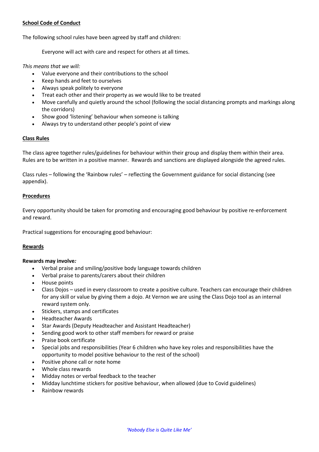#### **School Code of Conduct**

The following school rules have been agreed by staff and children:

Everyone will act with care and respect for others at all times.

#### *This means that we will:*

- Value everyone and their contributions to the school
- Keep hands and feet to ourselves
- Always speak politely to everyone
- Treat each other and their property as we would like to be treated
- Move carefully and quietly around the school (following the social distancing prompts and markings along the corridors)
- Show good 'listening' behaviour when someone is talking
- Always try to understand other people's point of view

#### **Class Rules**

The class agree together rules/guidelines for behaviour within their group and display them within their area. Rules are to be written in a positive manner. Rewards and sanctions are displayed alongside the agreed rules.

Class rules – following the 'Rainbow rules' – reflecting the Government guidance for social distancing (see appendix).

#### **Procedures**

Every opportunity should be taken for promoting and encouraging good behaviour by positive re-enforcement and reward.

Practical suggestions for encouraging good behaviour:

#### **Rewards**

#### **Rewards may involve***:*

- Verbal praise and smiling/positive body language towards children
- Verbal praise to parents/carers about their children
- House points
- Class Dojos used in every classroom to create a positive culture. Teachers can encourage their children for any skill or value by giving them a dojo. At Vernon we are using the Class Dojo tool as an internal reward system only.
- Stickers, stamps and certificates
- Headteacher Awards
- Star Awards (Deputy Headteacher and Assistant Headteacher)
- Sending good work to other staff members for reward or praise
- Praise book certificate
- Special jobs and responsibilities (Year 6 children who have key roles and responsibilities have the opportunity to model positive behaviour to the rest of the school)
- Positive phone call or note home
- Whole class rewards
- Midday notes or verbal feedback to the teacher
- Midday lunchtime stickers for positive behaviour, when allowed (due to Covid guidelines)
- Rainbow rewards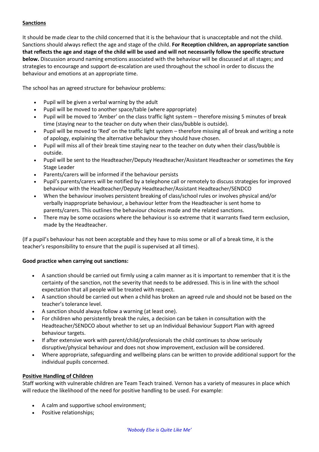#### **Sanctions**

It should be made clear to the child concerned that it is the behaviour that is unacceptable and not the child. Sanctions should always reflect the age and stage of the child. **For Reception children, an appropriate sanction that reflects the age and stage of the child will be used and will not necessarily follow the specific structure below.** Discussion around naming emotions associated with the behaviour will be discussed at all stages; and strategies to encourage and support de-escalation are used throughout the school in order to discuss the behaviour and emotions at an appropriate time.

The school has an agreed structure for behaviour problems:

- Pupil will be given a verbal warning by the adult
- Pupil will be moved to another space/table (where appropriate)
- Pupil will be moved to 'Amber' on the class traffic light system therefore missing 5 minutes of break time (staying near to the teacher on duty when their class/bubble is outside).
- Pupil will be moved to 'Red' on the traffic light system therefore missing all of break and writing a note of apology, explaining the alternative behaviour they should have chosen.
- Pupil will miss all of their break time staying near to the teacher on duty when their class/bubble is outside.
- Pupil will be sent to the Headteacher/Deputy Headteacher/Assistant Headteacher or sometimes the Key Stage Leader
- Parents/carers will be informed if the behaviour persists
- Pupil's parents/carers will be notified by a telephone call or remotely to discuss strategies for improved behaviour with the Headteacher/Deputy Headteacher/Assistant Headteacher/SENDCO
- When the behaviour involves persistent breaking of class/school rules or involves physical and/or verbally inappropriate behaviour, a behaviour letter from the Headteacher is sent home to parents/carers. This outlines the behaviour choices made and the related sanctions.
- There may be some occasions where the behaviour is so extreme that it warrants fixed term exclusion, made by the Headteacher.

(If a pupil's behaviour has not been acceptable and they have to miss some or all of a break time, it is the teacher's responsibility to ensure that the pupil is supervised at all times).

#### **Good practice when carrying out sanctions:**

- A sanction should be carried out firmly using a calm manner as it is important to remember that it is the certainty of the sanction, not the severity that needs to be addressed. This is in line with the school expectation that all people will be treated with respect.
- A sanction should be carried out when a child has broken an agreed rule and should not be based on the teacher's tolerance level.
- A sanction should always follow a warning (at least one).
- For children who persistently break the rules, a decision can be taken in consultation with the Headteacher/SENDCO about whether to set up an Individual Behaviour Support Plan with agreed behaviour targets.
- If after extensive work with parent/child/professionals the child continues to show seriously disruptive/physical behaviour and does not show improvement, exclusion will be considered.
- Where appropriate, safeguarding and wellbeing plans can be written to provide additional support for the individual pupils concerned.

#### **Positive Handling of Children**

Staff working with vulnerable children are Team Teach trained. Vernon has a variety of measures in place which will reduce the likelihood of the need for positive handling to be used. For example:

- A calm and supportive school environment;
- Positive relationships;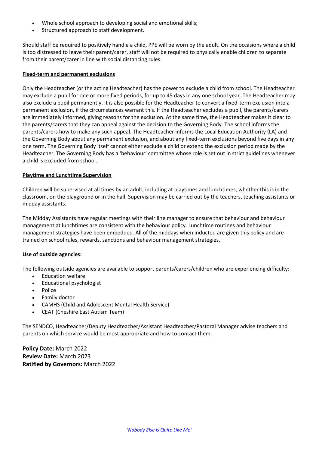- Whole school approach to developing social and emotional skills;
- Structured approach to staff development.

Should staff be required to positively handle a child, PPE will be worn by the adult. On the occasions where a child is too distressed to leave their parent/carer, staff will not be required to physically enable children to separate from their parent/carer in line with social distancing rules.

#### **Fixed-term and permanent exclusions**

Only the Headteacher (or the acting Headteacher) has the power to exclude a child from school. The Headteacher may exclude a pupil for one or more fixed periods, for up to 45 days in any one school year. The Headteacher may also exclude a pupil permanently. It is also possible for the Headteacher to convert a fixed-term exclusion into a permanent exclusion, if the circumstances warrant this. If the Headteacher excludes a pupil, the parents/carers are immediately informed, giving reasons for the exclusion. At the same time, the Headteacher makes it clear to the parents/carers that they can appeal against the decision to the Governing Body. The school informs the parents/carers how to make any such appeal. The Headteacher informs the Local Education Authority (LA) and the Governing Body about any permanent exclusion, and about any fixed-term exclusions beyond five days in any one term. The Governing Body itself cannot either exclude a child or extend the exclusion period made by the Headteacher. The Governing Body has a 'behaviour' committee whose role is set out in strict guidelines whenever a child is excluded from school.

#### **Playtime and Lunchtime Supervision**

Children will be supervised at all times by an adult, including at playtimes and lunchtimes, whether this is in the classroom, on the playground or in the hall. Supervision may be carried out by the teachers, teaching assistants or midday assistants.

The Midday Assistants have regular meetings with their line manager to ensure that behaviour and behaviour management at lunchtimes are consistent with the behaviour policy. Lunchtime routines and behaviour management strategies have been embedded. All of the middays when inducted are given this policy and are trained on school rules, rewards, sanctions and behaviour management strategies.

#### **Use of outside agencies:**

The following outside agencies are available to support parents/carers/children who are experiencing difficulty:

- Education welfare
- Educational psychologist
- Police
- Family doctor
- CAMHS (Child and Adolescent Mental Health Service)
- CEAT (Cheshire East Autism Team)

The SENDCO, Headteacher/Deputy Headteacher/Assistant Headteacher/Pastoral Manager advise teachers and parents on which service would be most appropriate and how to contact them.

**Policy Date:** March 2022 **Review Date:** March 2023 **Ratified by Governors:** March 2022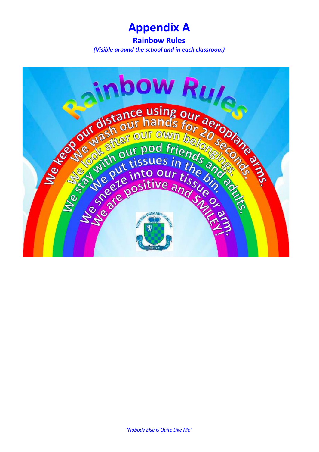## **Appendix A**

**Rainbow Rules** *(Visible around the school and in each classroom)*